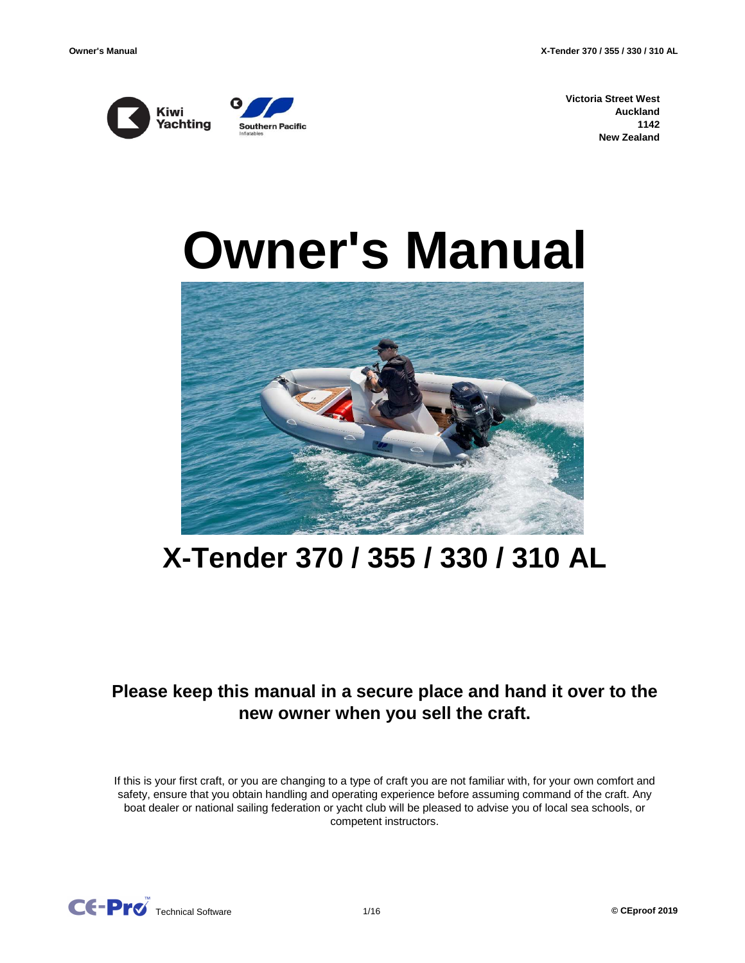



**Victoria Street West Auckland 1142 New Zealand**

# **Owner's Manual**



## **X-Tender 370 / 355 / 330 / 310 AL**

## **Please keep this manual in a secure place and hand it over to the new owner when you sell the craft.**

If this is your first craft, or you are changing to a type of craft you are not familiar with, for your own comfort and safety, ensure that you obtain handling and operating experience before assuming command of the craft. Any boat dealer or national sailing federation or yacht club will be pleased to advise you of local sea schools, or competent instructors.

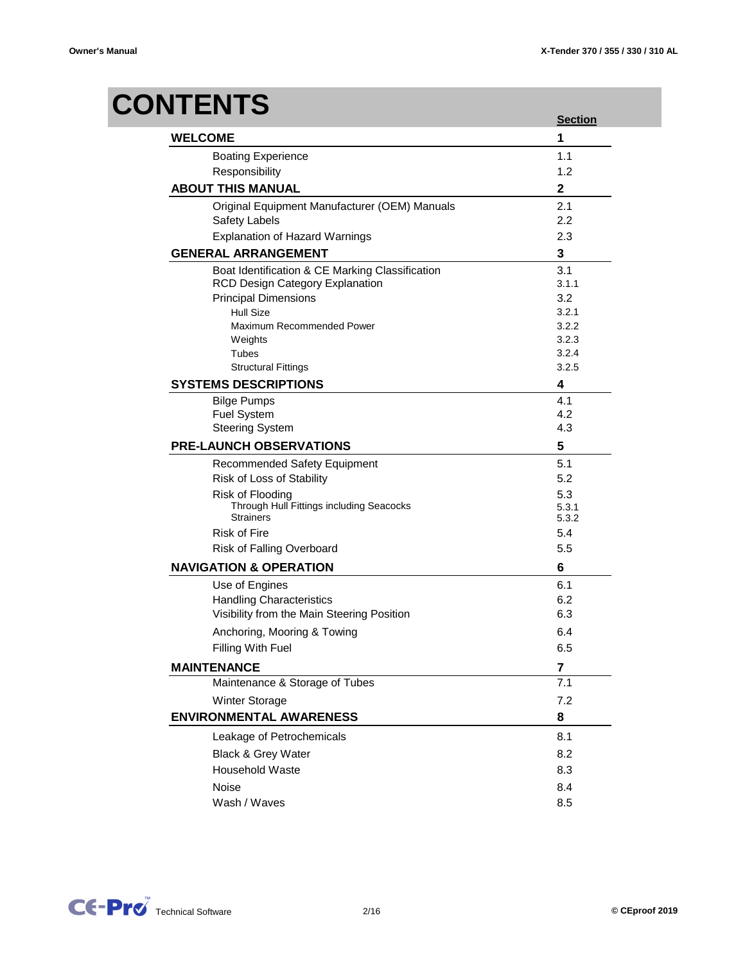## **CONTENTS**

|                                                 | <b>Section</b> |
|-------------------------------------------------|----------------|
| <b>WELCOME</b>                                  | 1              |
| <b>Boating Experience</b>                       | 1.1            |
| Responsibility                                  | 1.2            |
| <b>ABOUT THIS MANUAL</b>                        | 2              |
| Original Equipment Manufacturer (OEM) Manuals   | 2.1            |
| Safety Labels                                   | 2.2            |
| <b>Explanation of Hazard Warnings</b>           | 2.3            |
| <b>GENERAL ARRANGEMENT</b>                      | 3              |
| Boat Identification & CE Marking Classification | 3.1            |
| <b>RCD Design Category Explanation</b>          | 3.1.1          |
| <b>Principal Dimensions</b>                     | 3.2            |
| <b>Hull Size</b>                                | 3.2.1          |
| Maximum Recommended Power                       | 3.2.2          |
| Weights                                         | 3.2.3          |
| Tubes                                           | 3.2.4          |
| <b>Structural Fittings</b>                      | 3.2.5          |
| <b>SYSTEMS DESCRIPTIONS</b>                     | 4              |
| <b>Bilge Pumps</b>                              | 4.1            |
| <b>Fuel System</b>                              | 4.2            |
| <b>Steering System</b>                          | 4.3            |
| <b>PRE-LAUNCH OBSERVATIONS</b>                  | 5              |
| <b>Recommended Safety Equipment</b>             | 5.1            |
| Risk of Loss of Stability                       | 5.2            |
| Risk of Flooding                                | 5.3            |
| Through Hull Fittings including Seacocks        | 5.3.1          |
| <b>Strainers</b>                                | 5.3.2          |
| <b>Risk of Fire</b>                             | 5.4            |
| Risk of Falling Overboard                       | 5.5            |
| <b>NAVIGATION &amp; OPERATION</b>               | 6              |
| Use of Engines                                  | 6.1            |
| <b>Handling Characteristics</b>                 | 6.2            |
| Visibility from the Main Steering Position      | 6.3            |
| Anchoring, Mooring & Towing                     | 6.4            |
| Filling With Fuel                               | 6.5            |
| <b>MAINTENANCE</b>                              | 7              |
| Maintenance & Storage of Tubes                  | 7.1            |
| Winter Storage                                  | 7.2            |
| <b>ENVIRONMENTAL AWARENESS</b>                  | 8              |
| Leakage of Petrochemicals                       | 8.1            |
| Black & Grey Water                              | 8.2            |
| <b>Household Waste</b>                          | 8.3            |
| Noise                                           | 8.4            |
|                                                 |                |
| Wash / Waves                                    | 8.5            |

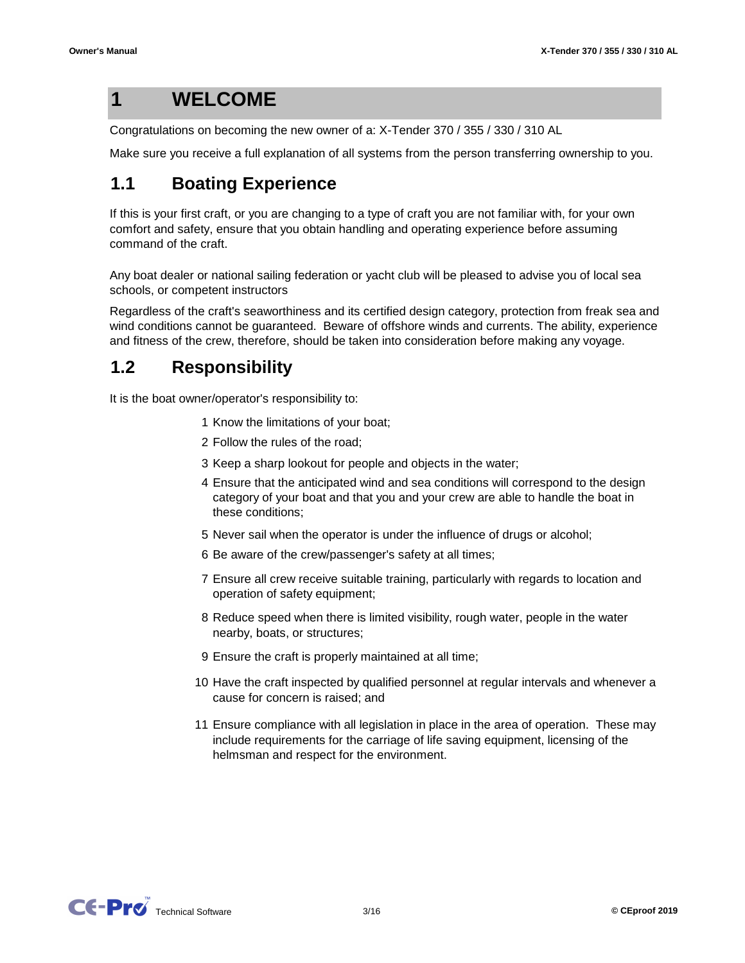#### **1 WELCOME**

Congratulations on becoming the new owner of a: X-Tender 370 / 355 / 330 / 310 AL

Make sure you receive a full explanation of all systems from the person transferring ownership to you.

#### **1.1 Boating Experience**

If this is your first craft, or you are changing to a type of craft you are not familiar with, for your own comfort and safety, ensure that you obtain handling and operating experience before assuming command of the craft.

Any boat dealer or national sailing federation or yacht club will be pleased to advise you of local sea schools, or competent instructors

Regardless of the craft's seaworthiness and its certified design category, protection from freak sea and wind conditions cannot be guaranteed. Beware of offshore winds and currents. The ability, experience and fitness of the crew, therefore, should be taken into consideration before making any voyage.

#### **1.2 Responsibility**

It is the boat owner/operator's responsibility to:

- 1 Know the limitations of your boat;
- 2 Follow the rules of the road;
- 3 Keep a sharp lookout for people and objects in the water;
- 4 Ensure that the anticipated wind and sea conditions will correspond to the design category of your boat and that you and your crew are able to handle the boat in these conditions;
- 5 Never sail when the operator is under the influence of drugs or alcohol;
- 6 Be aware of the crew/passenger's safety at all times;
- 7 Ensure all crew receive suitable training, particularly with regards to location and operation of safety equipment;
- 8 Reduce speed when there is limited visibility, rough water, people in the water nearby, boats, or structures;
- 9 Ensure the craft is properly maintained at all time;
- 10 Have the craft inspected by qualified personnel at regular intervals and whenever a cause for concern is raised; and
- 11 Ensure compliance with all legislation in place in the area of operation. These may include requirements for the carriage of life saving equipment, licensing of the helmsman and respect for the environment.

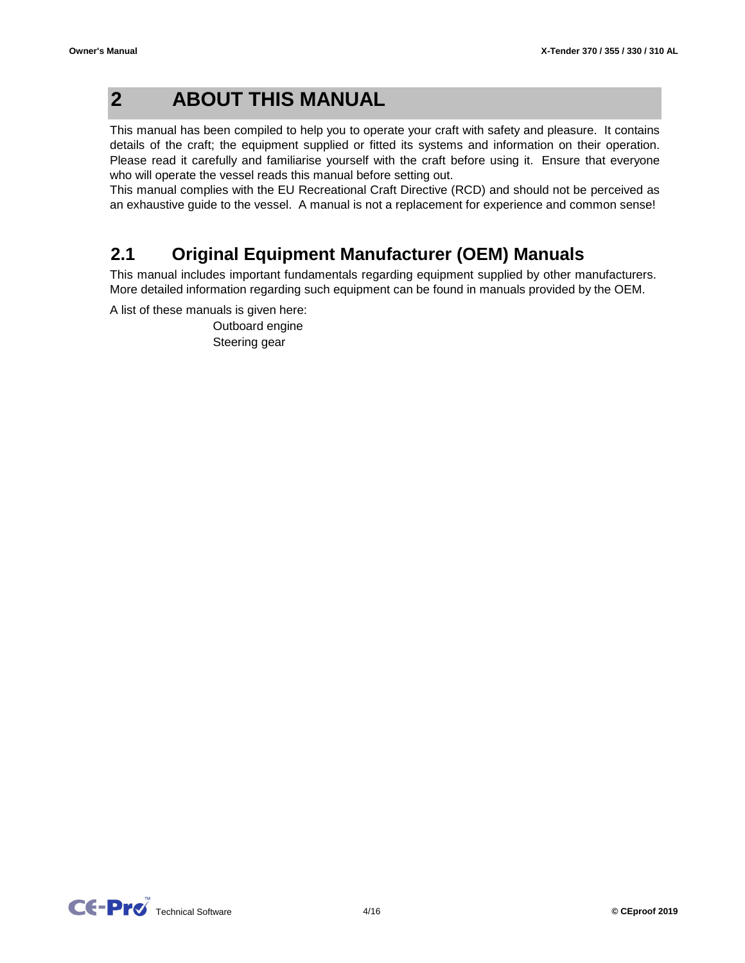#### **2 ABOUT THIS MANUAL**

This manual has been compiled to help you to operate your craft with safety and pleasure. It contains details of the craft; the equipment supplied or fitted its systems and information on their operation. Please read it carefully and familiarise yourself with the craft before using it. Ensure that everyone who will operate the vessel reads this manual before setting out.

This manual complies with the EU Recreational Craft Directive (RCD) and should not be perceived as an exhaustive guide to the vessel. A manual is not a replacement for experience and common sense!

#### **2.1 Original Equipment Manufacturer (OEM) Manuals**

This manual includes important fundamentals regarding equipment supplied by other manufacturers. More detailed information regarding such equipment can be found in manuals provided by the OEM.

A list of these manuals is given here:

Steering gear Outboard engine

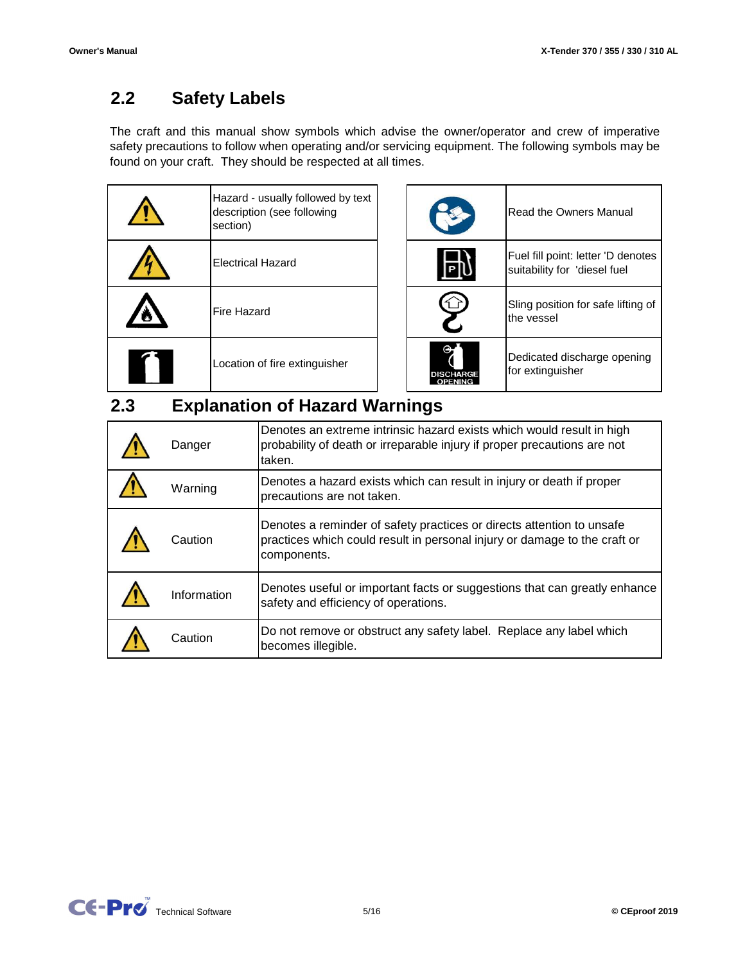#### **2.2 Safety Labels**

The craft and this manual show symbols which advise the owner/operator and crew of imperative safety precautions to follow when operating and/or servicing equipment. The following symbols may be found on your craft. They should be respected at all times.

| Hazard - usually followed by text<br>description (see following<br>section) |
|-----------------------------------------------------------------------------|
| <b>Electrical Hazard</b>                                                    |
| <b>Fire Hazard</b>                                                          |
| Location of fire extinguisher                                               |

| Hazard - usually followed by text<br>description (see following<br>section) |                  | <b>Read the Owners Manual</b>                                      |
|-----------------------------------------------------------------------------|------------------|--------------------------------------------------------------------|
| Electrical Hazard                                                           |                  | Fuel fill point: letter 'D denotes<br>suitability for 'diesel fuel |
| Fire Hazard                                                                 |                  | Sling position for safe lifting of<br>the vessel                   |
| Location of fire extinguisher                                               | <b>DISCHARGE</b> | Dedicated discharge opening<br>for extinguisher                    |

#### **2.3 Explanation of Hazard Warnings**

| Danger      | Denotes an extreme intrinsic hazard exists which would result in high<br>probability of death or irreparable injury if proper precautions are not<br>taken.       |
|-------------|-------------------------------------------------------------------------------------------------------------------------------------------------------------------|
| Warning     | Denotes a hazard exists which can result in injury or death if proper<br>precautions are not taken.                                                               |
| Caution     | Denotes a reminder of safety practices or directs attention to unsafe<br>practices which could result in personal injury or damage to the craft or<br>components. |
| Information | Denotes useful or important facts or suggestions that can greatly enhance<br>safety and efficiency of operations.                                                 |
| Caution     | Do not remove or obstruct any safety label. Replace any label which<br>becomes illegible.                                                                         |

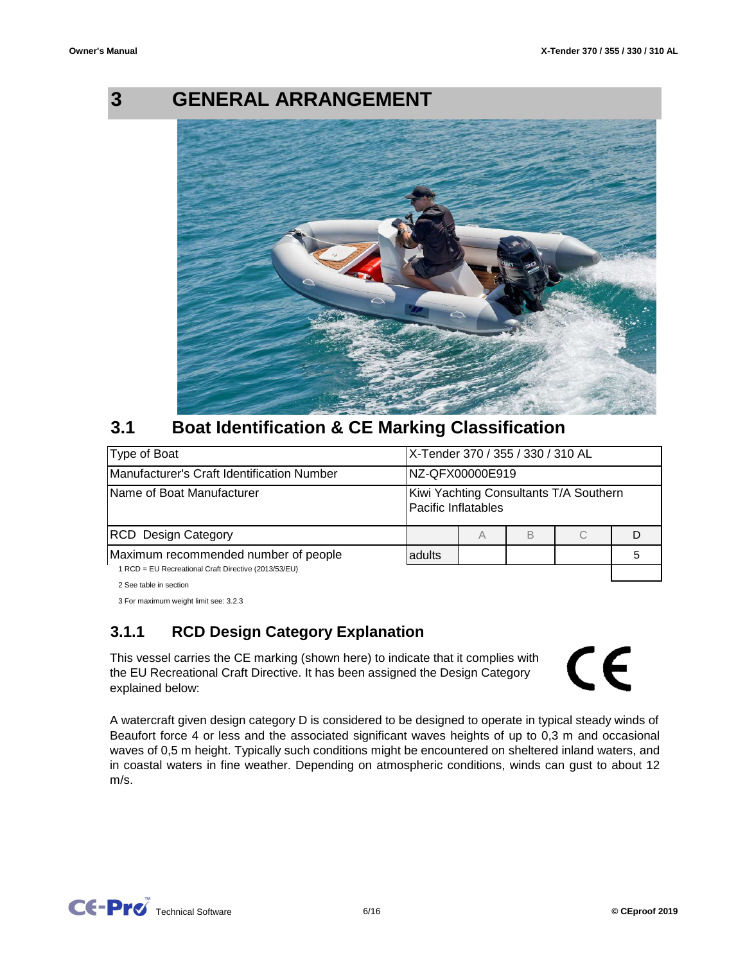## **3**

## **GENERAL ARRANGEMENT**



#### **3.1 Boat Identification & CE Marking Classification**

| Type of Boat                                                                                 |        | X-Tender 370 / 355 / 330 / 310 AL                             |   |  |  |
|----------------------------------------------------------------------------------------------|--------|---------------------------------------------------------------|---|--|--|
| Manufacturer's Craft Identification Number                                                   |        | NZ-QFX00000E919                                               |   |  |  |
| Name of Boat Manufacturer                                                                    |        | Kiwi Yachting Consultants T/A Southern<br>Pacific Inflatables |   |  |  |
| <b>RCD</b> Design Category                                                                   |        | А                                                             | В |  |  |
| Maximum recommended number of people<br>1 RCD = EU Recreational Craft Directive (2013/53/EU) | adults |                                                               |   |  |  |
| 2 See table in section                                                                       |        |                                                               |   |  |  |

3 For maximum weight limit see: 3.2.3

## **3.1.1 RCD Design Category Explanation**

This vessel carries the CE marking (shown here) to indicate that it complies with the EU Recreational Craft Directive. It has been assigned the Design Category explained below:

# CE

A watercraft given design category D is considered to be designed to operate in typical steady winds of Beaufort force 4 or less and the associated significant waves heights of up to 0,3 m and occasional waves of 0,5 m height. Typically such conditions might be encountered on sheltered inland waters, and in coastal waters in fine weather. Depending on atmospheric conditions, winds can gust to about 12 m/s.

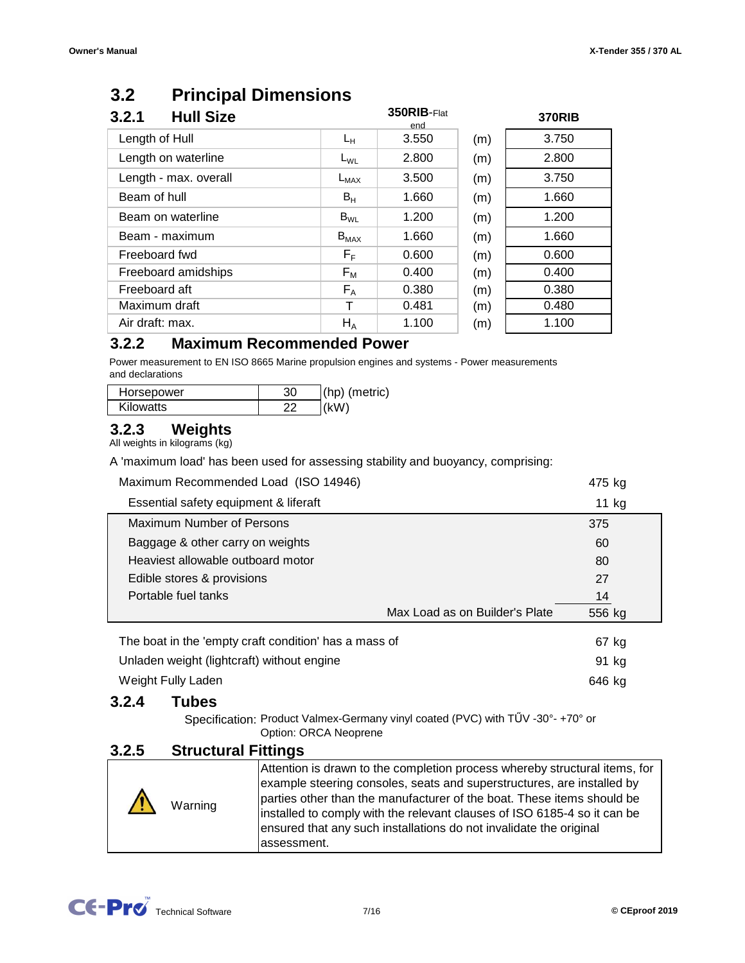#### **3.2 Principal Dimensions**

| <b>Hull Size</b><br>3.2.1 |                         | 350RIB-Flat<br>end |     | <b>370RIB</b> |
|---------------------------|-------------------------|--------------------|-----|---------------|
| Length of Hull            | Lн                      | 3.550              | (m) | 3.750         |
| Length on waterline       | $L_{WL}$                | 2.800              | (m) | 2.800         |
| Length - max. overall     | $L_{MAX}$               | 3.500              | (m) | 3.750         |
| Beam of hull              | $B_H$                   | 1.660              | (m) | 1.660         |
| Beam on waterline         | $B_{WL}$                | 1.200              | (m) | 1.200         |
| Beam - maximum            | $B_{MAX}$               | 1.660              | (m) | 1.660         |
| Freeboard fwd             | $\mathsf{F}_\mathsf{F}$ | 0.600              | (m) | 0.600         |
| Freeboard amidships       | $F_{M}$                 | 0.400              | (m) | 0.400         |
| Freeboard aft             | $F_A$                   | 0.380              | (m) | 0.380         |
| Maximum draft             | Τ                       | 0.481              | (m) | 0.480         |
| Air draft: max.           | $H_A$                   | 1.100              | (m) | 1.100         |

#### **3.2.2 Maximum Recommended Power**

Power measurement to EN ISO 8665 Marine propulsion engines and systems - Power measurements and declarations

| Horsepower       | 30 | (hp) (metric) |
|------------------|----|---------------|
| <b>Kilowatts</b> | ົ  | (KW)          |

#### **3.2.3 Weights**

All weights in kilograms (kg)

A 'maximum load' has been used for assessing stability and buoyancy, comprising:

| Maximum Recommended Load (ISO 14946)                  |                                | 475 kg |
|-------------------------------------------------------|--------------------------------|--------|
| Essential safety equipment & liferaft                 |                                | 11 kg  |
| Maximum Number of Persons                             |                                | 375    |
| Baggage & other carry on weights                      |                                | 60     |
| Heaviest allowable outboard motor                     |                                | 80     |
| Edible stores & provisions                            |                                | 27     |
| Portable fuel tanks                                   |                                | 14     |
|                                                       | Max Load as on Builder's Plate | 556 kg |
| The boat in the 'empty craft condition' has a mass of |                                | 67 kg  |
| Unladen weight (lightcraft) without engine            |                                | 91 kg  |
| Weight Fully Laden                                    |                                | 646 kg |

#### **3.2.4 Tubes**

Specification: Product Valmex-Germany vinyl coated (PVC) with TŰV -30°- +70° or Option: ORCA Neoprene

## **3.2.5 Structural Fittings**

| Warning | Attention is drawn to the completion process whereby structural items, for<br>example steering consoles, seats and superstructures, are installed by<br>parties other than the manufacturer of the boat. These items should be<br>installed to comply with the relevant clauses of ISO 6185-4 so it can be<br>ensured that any such installations do not invalidate the original<br>assessment. |
|---------|-------------------------------------------------------------------------------------------------------------------------------------------------------------------------------------------------------------------------------------------------------------------------------------------------------------------------------------------------------------------------------------------------|

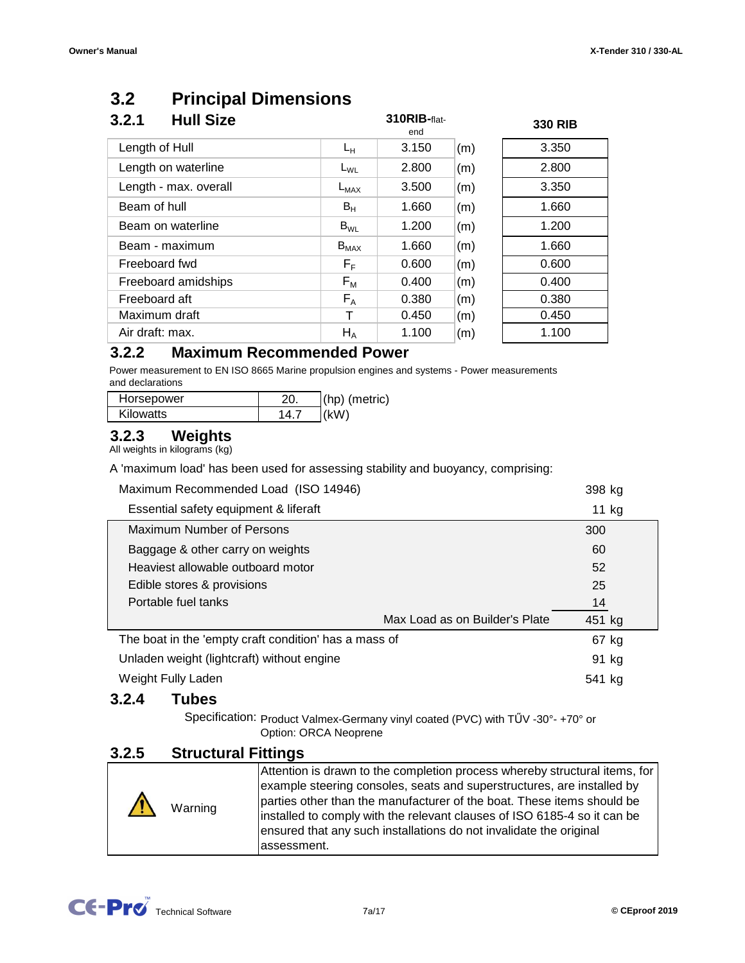#### **3.2 Principal Dimensions**

| <b>Hull Size</b><br>3.2.1 |                         | 310RIB-flat-<br>end |     | <b>330 RIB</b> |
|---------------------------|-------------------------|---------------------|-----|----------------|
| Length of Hull            | $L_{H}$                 | 3.150               | (m) | 3.350          |
| Length on waterline       | $L_{WL}$                | 2.800               | (m) | 2.800          |
| Length - max. overall     | $L_{MAX}$               | 3.500               | (m) | 3.350          |
| Beam of hull              | $B_{H}$                 | 1.660               | (m) | 1.660          |
| Beam on waterline         | $B_{WL}$                | 1.200               | (m) | 1.200          |
| Beam - maximum            | $B_{MAX}$               | 1.660               | (m) | 1.660          |
| Freeboard fwd             | $\mathsf{F}_\mathsf{F}$ | 0.600               | (m) | 0.600          |
| Freeboard amidships       | $F_M$                   | 0.400               | (m) | 0.400          |
| Freeboard aft             | $F_A$                   | 0.380               | (m) | 0.380          |
| Maximum draft             | Т                       | 0.450               | (m) | 0.450          |
| Air draft: max.           | $H_A$                   | 1.100               | (m) | 1.100          |

#### **3.2.2 Maximum Recommended Power**

Power measurement to EN ISO 8665 Marine propulsion engines and systems - Power measurements and declarations

| Horsepower | $(hp)$ (metric) |
|------------|-----------------|
| Kilowatts  | (kW)            |

#### **3.2.3 Weights**

All weights in kilograms (kg)

A 'maximum load' has been used for assessing stability and buoyancy, comprising:

| Maximum Recommended Load (ISO 14946)                  |                                | 398 kg |
|-------------------------------------------------------|--------------------------------|--------|
| Essential safety equipment & liferaft                 |                                | 11 kg  |
| Maximum Number of Persons                             |                                | 300    |
| Baggage & other carry on weights                      |                                | 60     |
| Heaviest allowable outboard motor                     |                                | 52     |
| Edible stores & provisions                            |                                | 25     |
| Portable fuel tanks                                   |                                | 14     |
|                                                       | Max Load as on Builder's Plate | 451 kg |
| The boat in the 'empty craft condition' has a mass of |                                | 67 kg  |
| Unladen weight (lightcraft) without engine            |                                | 91 kg  |
| Weight Fully Laden                                    |                                | 541 kg |

#### **3.2.4 Tubes**

Specification: Product Valmex-Germany vinyl coated (PVC) with TŰV -30°- +70° or Option: ORCA Neoprene

## **3.2.5 Structural Fittings**

| Warning | Attention is drawn to the completion process whereby structural items, for<br>example steering consoles, seats and superstructures, are installed by<br>parties other than the manufacturer of the boat. These items should be<br>installed to comply with the relevant clauses of ISO 6185-4 so it can be<br>ensured that any such installations do not invalidate the original<br>lassessment. |
|---------|--------------------------------------------------------------------------------------------------------------------------------------------------------------------------------------------------------------------------------------------------------------------------------------------------------------------------------------------------------------------------------------------------|
|---------|--------------------------------------------------------------------------------------------------------------------------------------------------------------------------------------------------------------------------------------------------------------------------------------------------------------------------------------------------------------------------------------------------|

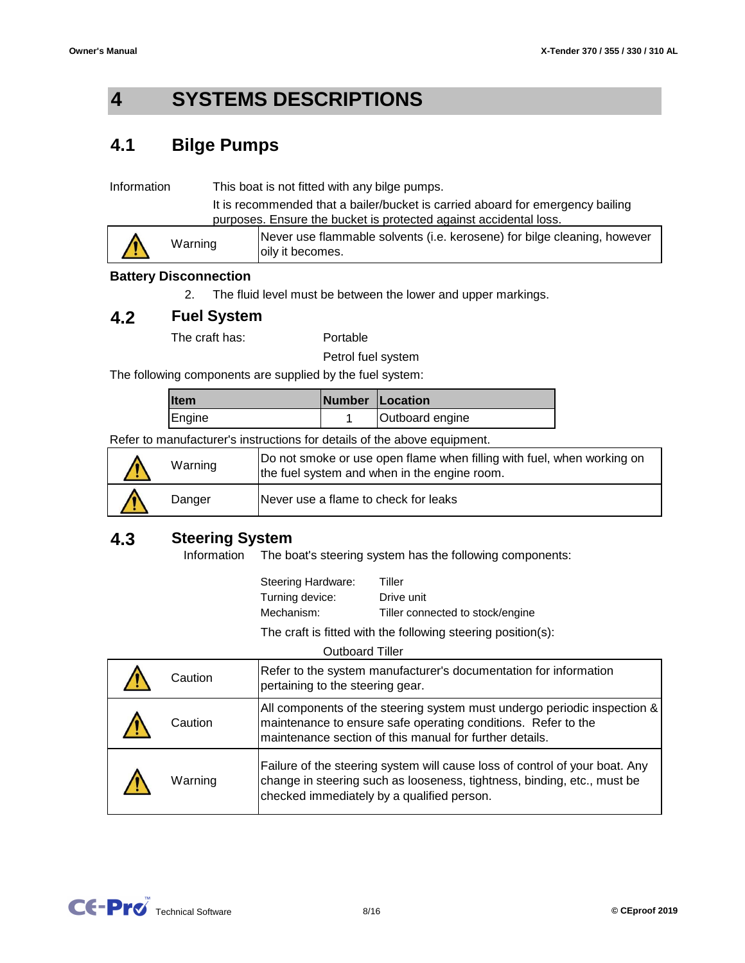#### **4 SYSTEMS DESCRIPTIONS**

#### **4.1 Bilge Pumps**

It is recommended that a bailer/bucket is carried aboard for emergency bailing purposes. Ensure the bucket is protected against accidental loss. Information This boat is not fitted with any bilge pumps.

|  | Warning | Never use flammable solvents (i.e. kerosene) for bilge cleaning, however<br>oily it becomes. |
|--|---------|----------------------------------------------------------------------------------------------|
|--|---------|----------------------------------------------------------------------------------------------|

### **Battery Disconnection**

2. The fluid level must be between the lower and upper markings.

#### **4.2 Fuel System**

The craft has:

Portable

Petrol fuel system

The following components are supplied by the fuel system:

| <b>Item</b> | Number   Location |                 |
|-------------|-------------------|-----------------|
| Engine      |                   | Outboard engine |

Refer to manufacturer's instructions for details of the above equipment.

| Warning | Do not smoke or use open flame when filling with fuel, when working on<br>the fuel system and when in the engine room. |  |
|---------|------------------------------------------------------------------------------------------------------------------------|--|
| Danger  | Never use a flame to check for leaks                                                                                   |  |

#### **4.3 Steering System**

The boat's steering system has the following components: Information

| Steering Hardware: | Tiller                           |
|--------------------|----------------------------------|
| Turning device:    | Drive unit                       |
| Mechanism:         | Tiller connected to stock/engine |

The craft is fitted with the following steering position(s):

| Caution | Refer to the system manufacturer's documentation for information<br>pertaining to the steering gear.                                                                                                 |
|---------|------------------------------------------------------------------------------------------------------------------------------------------------------------------------------------------------------|
| Caution | All components of the steering system must undergo periodic inspection &<br>maintenance to ensure safe operating conditions. Refer to the<br>maintenance section of this manual for further details. |
| Warning | Failure of the steering system will cause loss of control of your boat. Any<br>change in steering such as looseness, tightness, binding, etc., must be<br>checked immediately by a qualified person. |

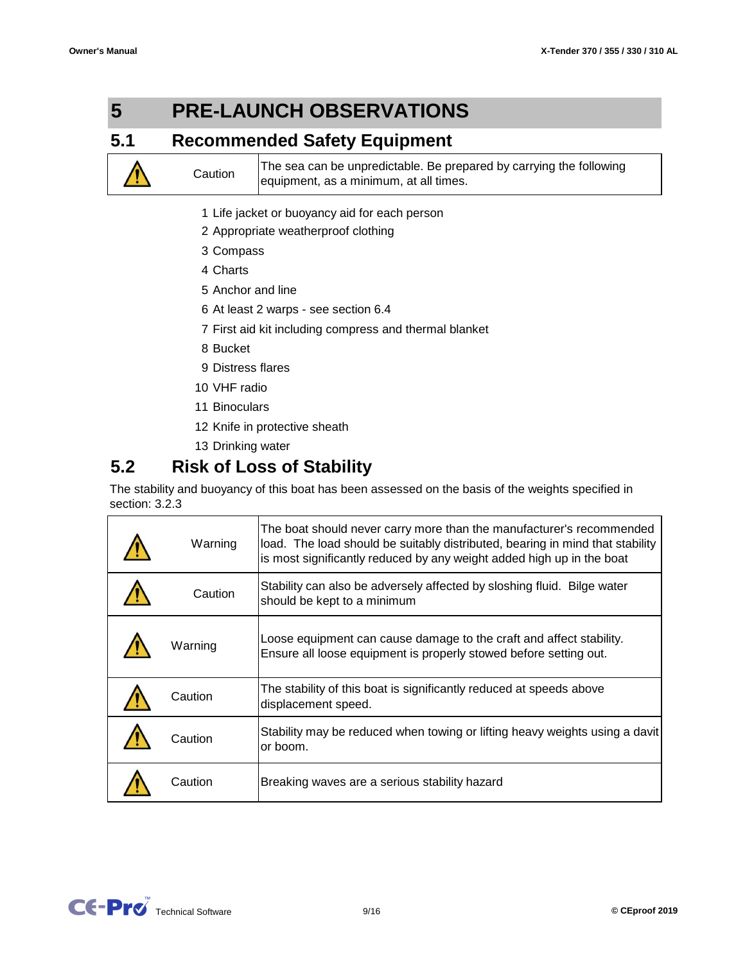#### **5 PRE-LAUNCH OBSERVATIONS**

#### **5.1 Recommended Safety Equipment**

The sea can be unpredictable. Be prepared by carrying the following equipment, as a minimum, at all times.

- 1 Life jacket or buoyancy aid for each person
- 2 Appropriate weatherproof clothing
- 3 Compass
- 4 Charts

**Caution** 

- 5 Anchor and line
- 6 At least 2 warps see section 6.4
- 7 First aid kit including compress and thermal blanket
- 8 Bucket
- 9 Distress flares
- 10 VHF radio
- 11 Binoculars
- 12 Knife in protective sheath
- 13 Drinking water

#### **5.2 Risk of Loss of Stability**

The stability and buoyancy of this boat has been assessed on the basis of the weights specified in section: 3.2.3

| Warning | The boat should never carry more than the manufacturer's recommended<br>load. The load should be suitably distributed, bearing in mind that stability<br>is most significantly reduced by any weight added high up in the boat |
|---------|--------------------------------------------------------------------------------------------------------------------------------------------------------------------------------------------------------------------------------|
| Caution | Stability can also be adversely affected by sloshing fluid. Bilge water<br>should be kept to a minimum                                                                                                                         |
| Warning | Loose equipment can cause damage to the craft and affect stability.<br>Ensure all loose equipment is properly stowed before setting out.                                                                                       |
| Caution | The stability of this boat is significantly reduced at speeds above<br>displacement speed.                                                                                                                                     |
| Caution | Stability may be reduced when towing or lifting heavy weights using a davit<br>or boom.                                                                                                                                        |
| Caution | Breaking waves are a serious stability hazard                                                                                                                                                                                  |

CC-PIC Technical Software 9/16 9/16 9/16 CEproof 2019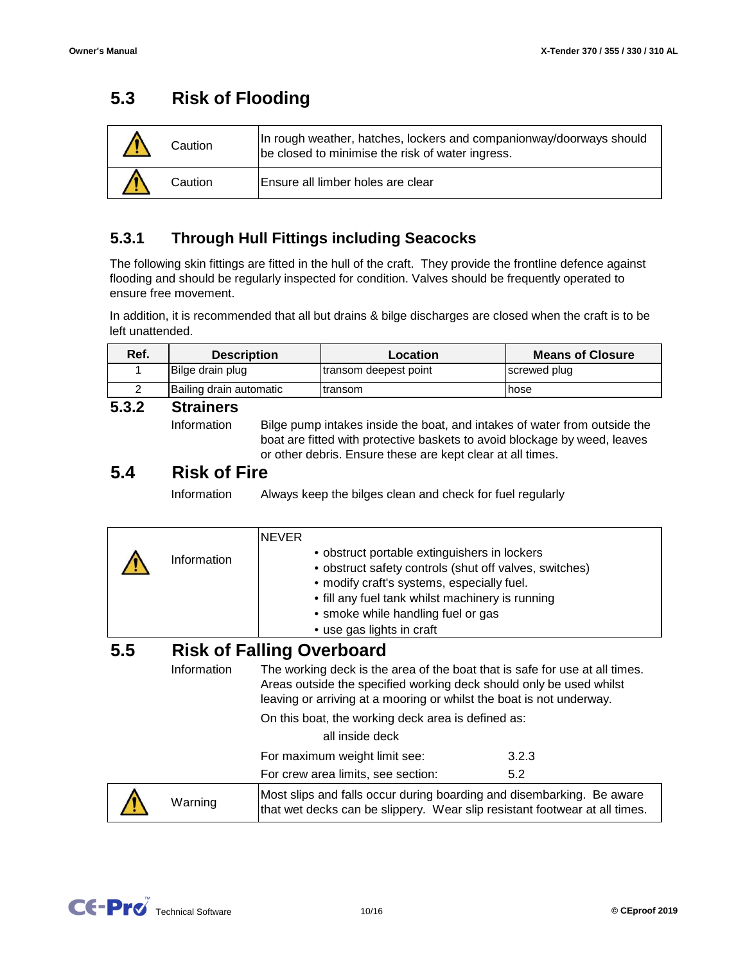#### **5.3 Risk of Flooding**

| Caution | In rough weather, hatches, lockers and companionway/doorways should<br>be closed to minimise the risk of water ingress. |
|---------|-------------------------------------------------------------------------------------------------------------------------|
| Caution | Ensure all limber holes are clear                                                                                       |

#### **5.3.1 Through Hull Fittings including Seacocks**

The following skin fittings are fitted in the hull of the craft. They provide the frontline defence against flooding and should be regularly inspected for condition. Valves should be frequently operated to ensure free movement.

In addition, it is recommended that all but drains & bilge discharges are closed when the craft is to be left unattended.

| Ref.     | <b>Description</b>      | Location              | <b>Means of Closure</b> |
|----------|-------------------------|-----------------------|-------------------------|
|          | Bilge drain plug        | transom deepest point | screwed plug            |
|          | Bailing drain automatic | Itransom              | hose                    |
| <u>.</u> | <b>Mine Brown</b>       |                       |                         |

#### **5.3.2 Strainers**

Information

Bilge pump intakes inside the boat, and intakes of water from outside the boat are fitted with protective baskets to avoid blockage by weed, leaves or other debris. Ensure these are kept clear at all times.

#### **5.4 Risk of Fire**

Information Always keep the bilges clean and check for fuel regularly

|     | Information | <b>NEVER</b><br>• obstruct portable extinguishers in lockers<br>• modify craft's systems, especially fuel.<br>• fill any fuel tank whilst machinery is running<br>• smoke while handling fuel or gas<br>• use gas lights in craft | • obstruct safety controls (shut off valves, switches)                                                                                              |
|-----|-------------|-----------------------------------------------------------------------------------------------------------------------------------------------------------------------------------------------------------------------------------|-----------------------------------------------------------------------------------------------------------------------------------------------------|
| 5.5 | Information | <b>Risk of Falling Overboard</b>                                                                                                                                                                                                  | The working deck is the area of the boat that is safe for use at all times.                                                                         |
|     |             |                                                                                                                                                                                                                                   | Areas outside the specified working deck should only be used whilst<br>leaving or arriving at a mooring or whilst the boat is not underway.         |
|     |             | On this boat, the working deck area is defined as:                                                                                                                                                                                |                                                                                                                                                     |
|     |             | all inside deck                                                                                                                                                                                                                   |                                                                                                                                                     |
|     |             | For maximum weight limit see:                                                                                                                                                                                                     | 3.2.3                                                                                                                                               |
|     |             | For crew area limits, see section:                                                                                                                                                                                                | 5.2                                                                                                                                                 |
|     | Warning     |                                                                                                                                                                                                                                   | Most slips and falls occur during boarding and disembarking. Be aware<br>that wet decks can be slippery. Wear slip resistant footwear at all times. |

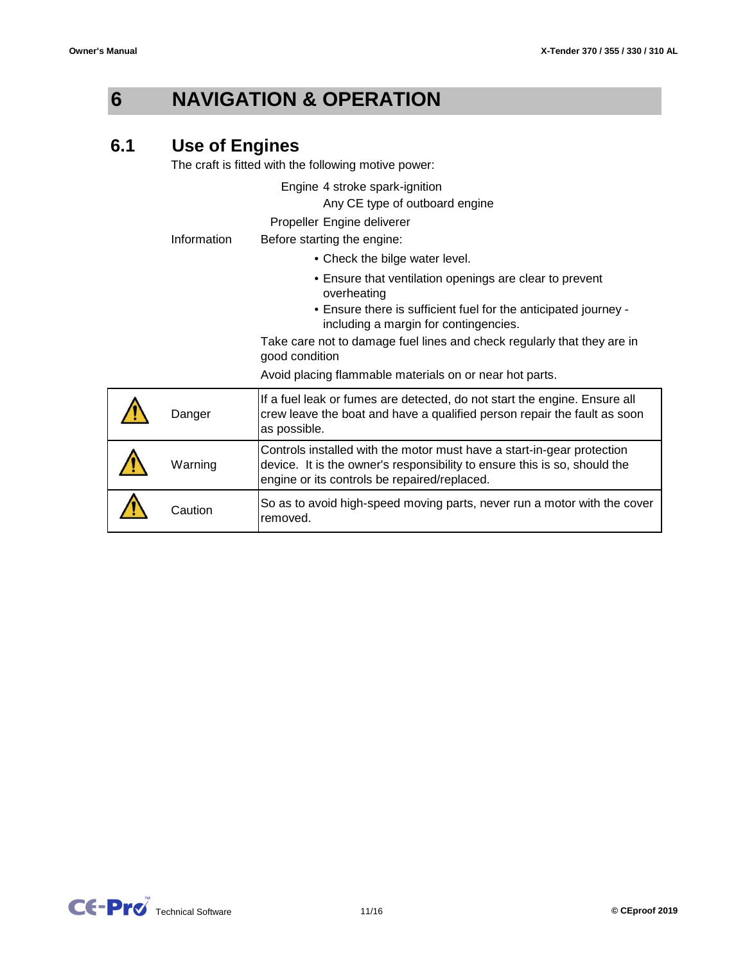**6**

## **NAVIGATION & OPERATION**

#### **6.1 Use of Engines**

The craft is fitted with the following motive power:

Engine 4 stroke spark-ignition

Any CE type of outboard engine

Propeller Engine deliverer

Information Before starting the engine:

- Check the bilge water level.
- Ensure that ventilation openings are clear to prevent overheating
- Ensure there is sufficient fuel for the anticipated journey including a margin for contingencies.

Take care not to damage fuel lines and check regularly that they are in good condition

Avoid placing flammable materials on or near hot parts.

| Danger  | If a fuel leak or fumes are detected, do not start the engine. Ensure all<br>crew leave the boat and have a qualified person repair the fault as soon<br>as possible.                               |
|---------|-----------------------------------------------------------------------------------------------------------------------------------------------------------------------------------------------------|
| Warning | Controls installed with the motor must have a start-in-gear protection<br>device. It is the owner's responsibility to ensure this is so, should the<br>engine or its controls be repaired/replaced. |
| Caution | So as to avoid high-speed moving parts, never run a motor with the cover<br>removed.                                                                                                                |

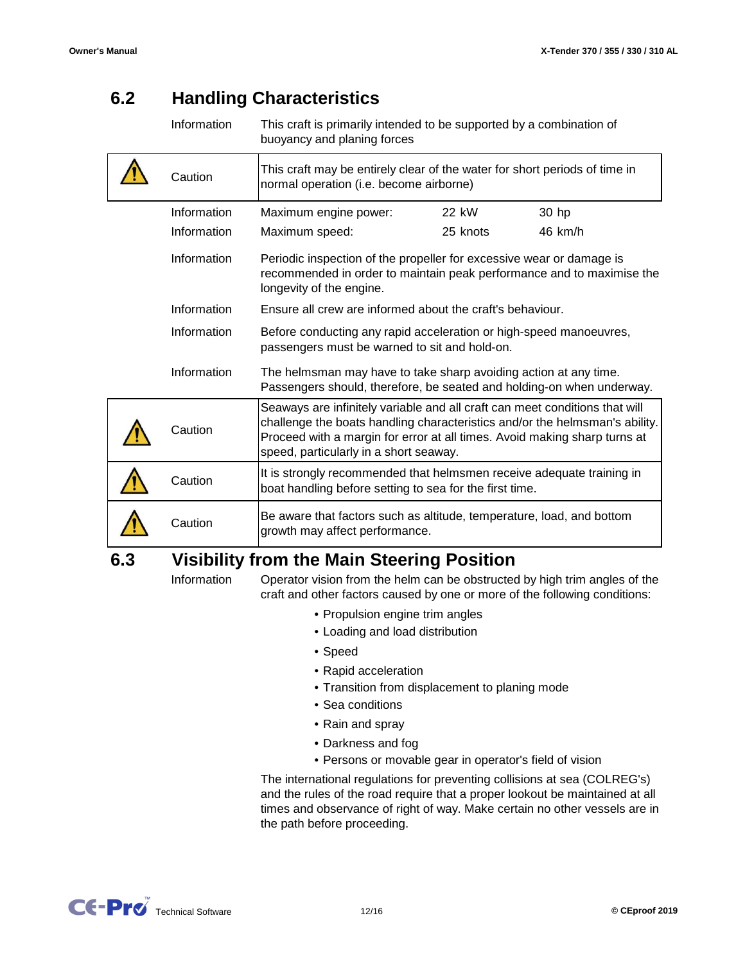#### **6.2 Handling Characteristics**

| Information | This craft is primarily intended to be supported by a combination of |
|-------------|----------------------------------------------------------------------|
|             | buoyancy and planing forces                                          |

|     | Caution     | This craft may be entirely clear of the water for short periods of time in<br>normal operation (i.e. become airborne)                                                                                                                                                             |          |         |
|-----|-------------|-----------------------------------------------------------------------------------------------------------------------------------------------------------------------------------------------------------------------------------------------------------------------------------|----------|---------|
|     | Information | Maximum engine power:                                                                                                                                                                                                                                                             | 22 kW    | 30 hp   |
|     | Information | Maximum speed:                                                                                                                                                                                                                                                                    | 25 knots | 46 km/h |
|     | Information | Periodic inspection of the propeller for excessive wear or damage is<br>recommended in order to maintain peak performance and to maximise the<br>longevity of the engine.                                                                                                         |          |         |
|     | Information | Ensure all crew are informed about the craft's behaviour.                                                                                                                                                                                                                         |          |         |
|     | Information | Before conducting any rapid acceleration or high-speed manoeuvres,<br>passengers must be warned to sit and hold-on.                                                                                                                                                               |          |         |
|     | Information | The helmsman may have to take sharp avoiding action at any time.<br>Passengers should, therefore, be seated and holding-on when underway.                                                                                                                                         |          |         |
|     | Caution     | Seaways are infinitely variable and all craft can meet conditions that will<br>challenge the boats handling characteristics and/or the helmsman's ability.<br>Proceed with a margin for error at all times. Avoid making sharp turns at<br>speed, particularly in a short seaway. |          |         |
|     | Caution     | It is strongly recommended that helmsmen receive adequate training in<br>boat handling before setting to sea for the first time.                                                                                                                                                  |          |         |
|     | Caution     | Be aware that factors such as altitude, temperature, load, and bottom<br>growth may affect performance.                                                                                                                                                                           |          |         |
| 6.3 |             | <b>Visibility from the Main Steering Position</b>                                                                                                                                                                                                                                 |          |         |

## **Visibility from the Main Steering Position**

Information

- Operator vision from the helm can be obstructed by high trim angles of the craft and other factors caused by one or more of the following conditions:
	- Propulsion engine trim angles
	- Loading and load distribution
	- Speed
	- Rapid acceleration
	- Transition from displacement to planing mode
	- Sea conditions
	- Rain and spray
	- Darkness and fog
	- Persons or movable gear in operator's field of vision

The international regulations for preventing collisions at sea (COLREG's) and the rules of the road require that a proper lookout be maintained at all times and observance of right of way. Make certain no other vessels are in the path before proceeding.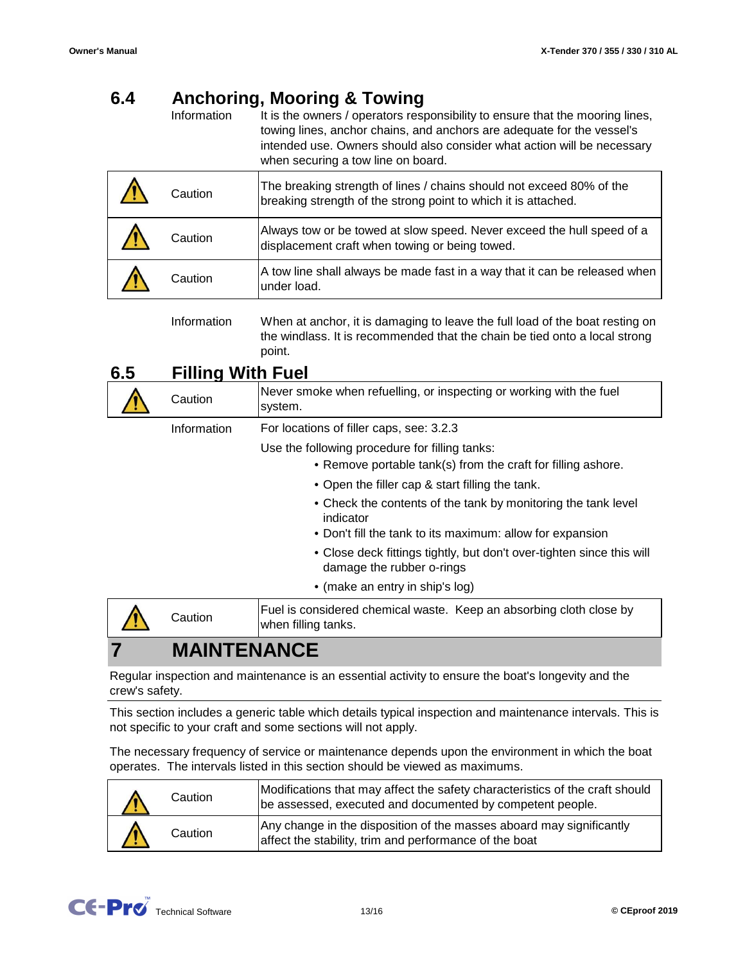#### **6.4 Anchoring, Mooring & Towing**

Information It is the owners / operators responsibility to ensure that the mooring lines, towing lines, anchor chains, and anchors are adequate for the vessel's intended use. Owners should also consider what action will be necessary when securing a tow line on board.

| Caution | The breaking strength of lines / chains should not exceed 80% of the<br>breaking strength of the strong point to which it is attached. |
|---------|----------------------------------------------------------------------------------------------------------------------------------------|
| Caution | Always tow or be towed at slow speed. Never exceed the hull speed of a<br>displacement craft when towing or being towed.               |
| Caution | A tow line shall always be made fast in a way that it can be released when<br>under load.                                              |

Information When at anchor, it is damaging to leave the full load of the boat resting on the windlass. It is recommended that the chain be tied onto a local strong point.

#### **6.5 Filling With Fuel**

| Caution     | Never smoke when refuelling, or inspecting or working with the fuel<br>system.                                 |  |
|-------------|----------------------------------------------------------------------------------------------------------------|--|
| Information | For locations of filler caps, see: 3.2.3                                                                       |  |
|             | Use the following procedure for filling tanks:<br>• Remove portable tank(s) from the craft for filling ashore. |  |
|             | • Open the filler cap & start filling the tank.                                                                |  |
|             | • Check the contents of the tank by monitoring the tank level<br>indicator                                     |  |
|             | • Don't fill the tank to its maximum: allow for expansion                                                      |  |
|             | • Close deck fittings tightly, but don't over-tighten since this will<br>damage the rubber o-rings             |  |
|             | • (make an entry in ship's log)                                                                                |  |
| Caution     | Fuel is considered chemical waste. Keep an absorbing cloth close by<br>when filling tanks.                     |  |
|             |                                                                                                                |  |

## **MAINTENANCE**

Regular inspection and maintenance is an essential activity to ensure the boat's longevity and the crew's safety.

This section includes a generic table which details typical inspection and maintenance intervals. This is not specific to your craft and some sections will not apply.

The necessary frequency of service or maintenance depends upon the environment in which the boat operates. The intervals listed in this section should be viewed as maximums.

| Caution | Modifications that may affect the safety characteristics of the craft should<br>be assessed, executed and documented by competent people. |  |
|---------|-------------------------------------------------------------------------------------------------------------------------------------------|--|
| Caution | Any change in the disposition of the masses aboard may significantly<br>affect the stability, trim and performance of the boat            |  |

**7**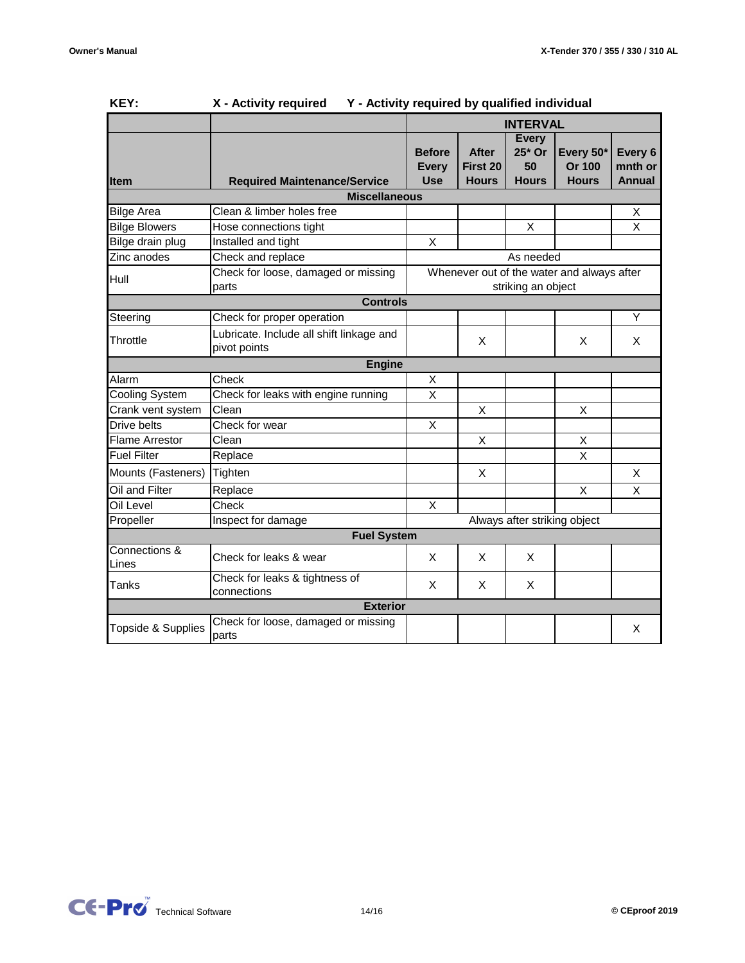|                        | v - writh it redailed<br><b>1 - Activity required by qualified individual</b>                                    |                                             |                                          |                                              |                                     |                                     |
|------------------------|------------------------------------------------------------------------------------------------------------------|---------------------------------------------|------------------------------------------|----------------------------------------------|-------------------------------------|-------------------------------------|
|                        |                                                                                                                  |                                             |                                          | <b>INTERVAL</b>                              |                                     |                                     |
| <b>Item</b>            | <b>Required Maintenance/Service</b>                                                                              | <b>Before</b><br><b>Every</b><br><b>Use</b> | <b>After</b><br>First 20<br><b>Hours</b> | <b>Every</b><br>25* Or<br>50<br><b>Hours</b> | Every 50*<br>Or 100<br><b>Hours</b> | Every 6<br>mnth or<br><b>Annual</b> |
|                        | <b>Miscellaneous</b>                                                                                             |                                             |                                          |                                              |                                     |                                     |
| <b>Bilge Area</b>      | Clean & limber holes free                                                                                        |                                             |                                          |                                              |                                     | X                                   |
| <b>Bilge Blowers</b>   | Hose connections tight                                                                                           |                                             |                                          | X                                            |                                     | $\sf X$                             |
| Bilge drain plug       | Installed and tight                                                                                              | X                                           |                                          |                                              |                                     |                                     |
| Zinc anodes            | Check and replace                                                                                                |                                             |                                          | As needed                                    |                                     |                                     |
| Hull                   | Check for loose, damaged or missing<br>Whenever out of the water and always after<br>striking an object<br>parts |                                             |                                          |                                              |                                     |                                     |
|                        | <b>Controls</b>                                                                                                  |                                             |                                          |                                              |                                     |                                     |
| Steering               | Check for proper operation                                                                                       |                                             |                                          |                                              |                                     | Y                                   |
| Throttle               | Lubricate. Include all shift linkage and<br>pivot points                                                         |                                             | X                                        |                                              | X                                   | X                                   |
|                        | <b>Engine</b>                                                                                                    |                                             |                                          |                                              |                                     |                                     |
| Alarm                  | Check                                                                                                            | Χ                                           |                                          |                                              |                                     |                                     |
| <b>Cooling System</b>  | Check for leaks with engine running                                                                              | $\overline{X}$                              |                                          |                                              |                                     |                                     |
| Crank vent system      | Clean                                                                                                            |                                             | X                                        |                                              | X                                   |                                     |
| Drive belts            | Check for wear                                                                                                   | X                                           |                                          |                                              |                                     |                                     |
| <b>Flame Arrestor</b>  | Clean                                                                                                            |                                             | X                                        |                                              | Χ                                   |                                     |
| <b>Fuel Filter</b>     | Replace                                                                                                          |                                             |                                          |                                              | $\overline{\mathsf{x}}$             |                                     |
| Mounts (Fasteners)     | Tighten                                                                                                          |                                             | X                                        |                                              |                                     | X                                   |
| Oil and Filter         | Replace                                                                                                          |                                             |                                          |                                              | X                                   | X                                   |
| Oil Level              | Check                                                                                                            | X                                           |                                          |                                              |                                     |                                     |
| Propeller              | Inspect for damage                                                                                               |                                             |                                          |                                              | Always after striking object        |                                     |
|                        | <b>Fuel System</b>                                                                                               |                                             |                                          |                                              |                                     |                                     |
| Connections &<br>Lines | Check for leaks & wear                                                                                           | X                                           | X                                        | X                                            |                                     |                                     |
| Tanks                  | Check for leaks & tightness of<br>connections                                                                    | X                                           | X                                        | X                                            |                                     |                                     |
|                        | <b>Exterior</b>                                                                                                  |                                             |                                          |                                              |                                     |                                     |
| Topside & Supplies     | Check for loose, damaged or missing<br>parts                                                                     |                                             |                                          |                                              |                                     | X                                   |

### **KEY: X - Activity required Y - Activity required by qualified individual**

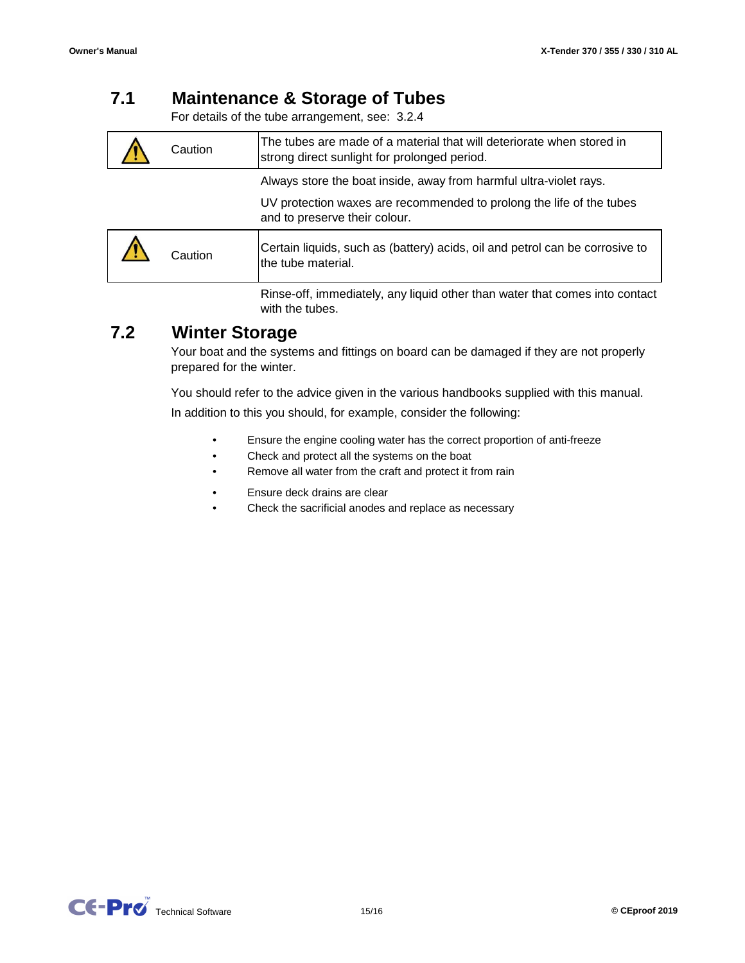#### **7.1 Maintenance & Storage of Tubes**

For details of the tube arrangement, see: 3.2.4

| Caution | The tubes are made of a material that will deteriorate when stored in<br>strong direct sunlight for prolonged period.                                                       |
|---------|-----------------------------------------------------------------------------------------------------------------------------------------------------------------------------|
|         | Always store the boat inside, away from harmful ultra-violet rays.<br>UV protection waxes are recommended to prolong the life of the tubes<br>and to preserve their colour. |
| Caution | Certain liquids, such as (battery) acids, oil and petrol can be corrosive to<br>the tube material.                                                                          |
|         | Rinse-off, immediately, any liquid other than water that comes into contact                                                                                                 |

#### **7.2 Winter Storage**

Your boat and the systems and fittings on board can be damaged if they are not properly prepared for the winter.

You should refer to the advice given in the various handbooks supplied with this manual.

In addition to this you should, for example, consider the following:

- Ensure the engine cooling water has the correct proportion of anti-freeze
- Check and protect all the systems on the boat
- Remove all water from the craft and protect it from rain
- Ensure deck drains are clear

with the tubes.

• Check the sacrificial anodes and replace as necessary